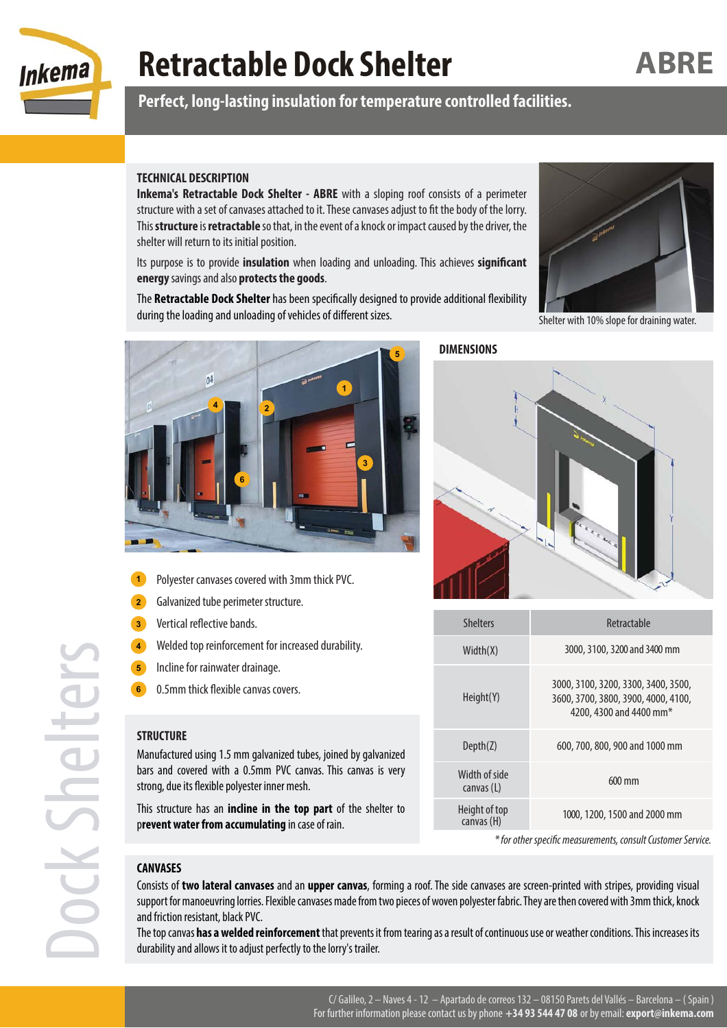

# **Retractable Dock Shelter**

**Perfect, long-lasting insulation for temperature controlled facilities.**

### **TECHNICAL DESCRIPTION**

**Inkema's Retractable Dock Shelter - ABRE** with a sloping roof consists of a perimeter structure with a set of canvases attached to it. These canvases adjust to fit the body of the lorry. This **structure** is **retractable** so that, in the event of a knock or impact caused by the driver, the shelter will return to its initial position.

Its purpose is to provide **insulation** when loading and unloading. This achieves **significant energy** savings and also **protects the goods**.

The **Retractable Dock Shelter** has been specifically designed to provide additional flexibility during the loading and unloading of vehicles of different sizes.



Polyester canvases covered with 3mm thick PVC.

Welded top reinforcement for increased durability.

Manufactured using 1.5 mm galvanized tubes, joined by galvanized bars and covered with a 0.5mm PVC canvas. This canvas is very

This structure has an **incline in the top part** of the shelter to

Galvanized tube perimeter structure.

Vertical reflective bands.

Incline for rainwater drainage. 0.5mm thick flexible canvas covers.

strong, due its flexible polyester inner mesh.

p**revent water from accumulating** in case of rain.

**DIMENSIONS**



| <b>Shelters</b>             | Retractable                                                                                                       |
|-----------------------------|-------------------------------------------------------------------------------------------------------------------|
| Width(X)                    | 3000, 3100, 3200 and 3400 mm                                                                                      |
| Height(Y)                   | 3000, 3100, 3200, 3300, 3400, 3500,<br>3600, 3700, 3800, 3900, 4000, 4100,<br>4200, 4300 and 4400 mm <sup>*</sup> |
| Depth(Z)                    | 600, 700, 800, 900 and 1000 mm                                                                                    |
| Width of side<br>canvas (L) | $600 \text{ mm}$                                                                                                  |
| Height of top<br>canvas (H) | 1000, 1200, 1500 and 2000 mm                                                                                      |
|                             |                                                                                                                   |

\* for other specific measurements, consult Customer Service.

#### **CANVASES**

**STRUCTURE**

Consists of **two lateral canvases** and an **upper canvas**, forming a roof. The side canvases are screen-printed with stripes, providing visual support for manoeuvring lorries. Flexible canvases made from two pieces of woven polyester fabric. They are then covered with 3mm thick, knock and friction resistant, black PVC.

The top canvas **has a welded reinforcement** that prevents it from tearing as a result of continuous use or weather conditions. This increases its durability and allows it to adjust perfectly to the lorry's trailer.



Shelter with 10% slope for draining water.

**ABRE**